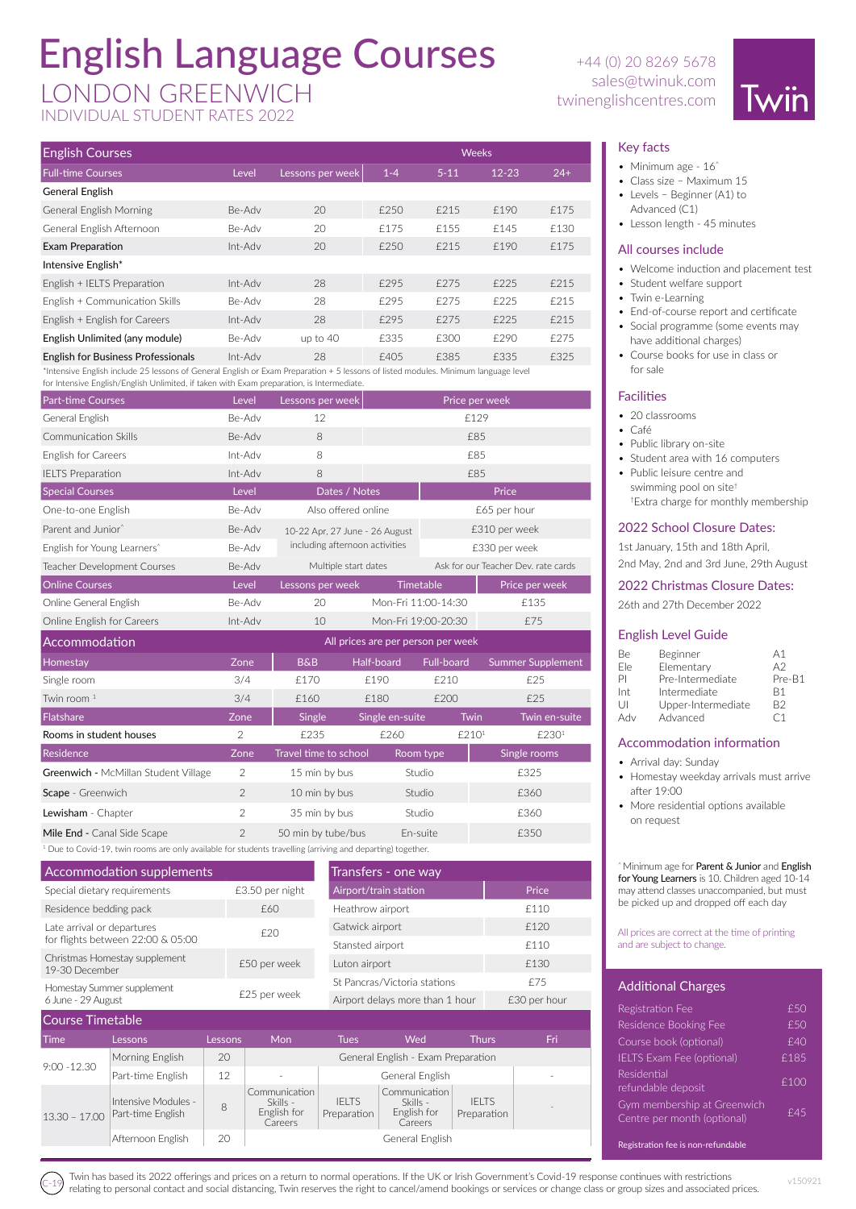## English Language Courses

**English Courses** Weeks Weeks Weeks Weeks Weeks Weeks

### sales@twinuk.com sales@twinuk.com sales@twinuk.com

INDIVIDUAL STUDENT RATES 2022

# +44 (0) 20 8269 5678



#### Key facts

- Minimum age 16<sup>^</sup>
- Class size Maximum 15
- Levels Beginner (A1) to
- Advanced (C1) • Lesson length - 45 minutes

#### All courses include

- Welcome induction and placement test
- Student welfare support
- Twin e-Learning
- End-of-course report and certificate
- Social programme (some events may have additional charges)
- Course books for use in class or for sale

#### **Facilities**

- 20 classrooms
- Café
- Public library on-site
- Student area with 16 computers
- Public leisure centre and swimming pool on site† †Extra charge for monthly membership

#### 2022 School Closure Dates:

1st January, 15th and 18th April, 2nd May, 2nd and 3rd June, 29th August

#### 2022 Christmas Closure Dates:

26th and 27th December 2022

#### English Level Guide

| Be  | Beginner           | A <sub>1</sub> |
|-----|--------------------|----------------|
| Fle | Elementary         | A2             |
| ΡI  | Pre-Intermediate   | Pre-B1         |
| Int | Intermediate       | R1             |
| U   | Upper-Intermediate | B2             |
| Adv | Advanced           | ۲1             |

#### Accommodation information

- Arrival day: Sunday
- Homestay weekday arrivals must arrive after 19:00
- More residential options available on request

^ Minimum age for Parent & Junior and English for Young Learners is 10. Children aged 10-14 may attend classes unaccompanied, but must be picked up and dropped off each day

#### All prices are correct at the time of printing and are subject to change.

#### Additional Charges

Registration fee is non-refundable

| Registration Fee                                           | £50  |
|------------------------------------------------------------|------|
| Residence Booking Fee                                      | £50  |
| Course book (optional)                                     | f40  |
| <b>IELTS Exam Fee (optional)</b>                           | £185 |
| Residential<br>refundable deposit                          | £100 |
| Gym membership at Greenwich<br>Centre per month (optional) | £45  |
|                                                            |      |

| <b>Full-time Courses</b>                                                                                                                                                                                                        | Level   | Lessons per week | $1 - 4$ | $5 - 11$ | $12 - 23$      | $24+$ |
|---------------------------------------------------------------------------------------------------------------------------------------------------------------------------------------------------------------------------------|---------|------------------|---------|----------|----------------|-------|
| General English                                                                                                                                                                                                                 |         |                  |         |          |                |       |
| <b>General English Morning</b>                                                                                                                                                                                                  | Be-Adv  | 20               | £250    | £215     | £190           | £175  |
| General English Afternoon                                                                                                                                                                                                       | Be-Adv  | 20               | £175    | £155     | £145           | £130  |
| Exam Preparation                                                                                                                                                                                                                | Int-Adv | 20               | £250    | £215     | £190           | £175  |
| Intensive English*                                                                                                                                                                                                              |         |                  |         |          |                |       |
| English + IELTS Preparation                                                                                                                                                                                                     | Int-Adv | 28               | £295    | £275     | £225           | £215  |
| English + Communication Skills                                                                                                                                                                                                  | Be-Adv  | 28               | £295    | £275     | £225           | £215  |
| English + English for Careers                                                                                                                                                                                                   | Int-Adv | 28               | £295    | £275     | £225           | £215  |
| English Unlimited (any module)                                                                                                                                                                                                  | Be-Adv  | up to $40$       | £335    | £300     | £290           | £275  |
| English for Business Professionals                                                                                                                                                                                              | Int-Adv | 28               | £405    | £385     | £335           | £325  |
| *Intensive English include 25 lessons of General English or Exam Preparation + 5 lessons of listed modules. Minimum language level<br>for Intensive English/English Unlimited, if taken with Exam preparation, is Intermediate. |         |                  |         |          |                |       |
| <b>Part-time Courses</b>                                                                                                                                                                                                        | Level   | Lessons per week |         |          | Price per week |       |

| General English                         | Be-Adv         | 12                                 |                     |                   | £129                                |  |  |
|-----------------------------------------|----------------|------------------------------------|---------------------|-------------------|-------------------------------------|--|--|
| Communication Skills                    | Be-Adv         | 8                                  |                     |                   | £85                                 |  |  |
| <b>English for Careers</b>              | Int-Adv        | 8                                  |                     |                   | £85                                 |  |  |
| <b>IELTS Preparation</b>                | Int-Adv        | 8                                  |                     |                   | £85                                 |  |  |
| <b>Special Courses</b>                  | Level          | Dates / Notes                      |                     |                   | Price                               |  |  |
| One-to-one English                      | Be-Adv         | Also offered online                |                     |                   | £65 per hour                        |  |  |
| Parent and Junior^                      | Be-Adv         | 10-22 Apr, 27 June - 26 August     |                     |                   | £310 per week                       |  |  |
| English for Young Learners <sup>*</sup> | Be-Adv         | including afternoon activities     |                     |                   | £330 per week                       |  |  |
| Teacher Development Courses             | Be-Adv         | Multiple start dates               |                     |                   | Ask for our Teacher Dev. rate cards |  |  |
| <b>Online Courses</b>                   | Level          | Lessons per week                   | Timetable           |                   | Price per week                      |  |  |
| Online General English                  | Be-Adv         | 20                                 | Mon-Fri 11:00-14:30 |                   | £135                                |  |  |
| Online English for Careers              | Int-Adv        | 10                                 | Mon-Fri 19:00-20:30 |                   | £75                                 |  |  |
|                                         |                | All prices are per person per week |                     |                   |                                     |  |  |
| Accommodation                           |                |                                    |                     |                   |                                     |  |  |
| Homestay                                | Zone           | <b>B&amp;B</b>                     | Half-board          | Full-board        | <b>Summer Supplement</b>            |  |  |
| Single room                             | 3/4            | £170                               | £190                | £210              | £25                                 |  |  |
| Twin room <sup>1</sup>                  | 3/4            | £160                               | £180                | £200              | £25                                 |  |  |
| Flatshare                               | Zone           | Single                             | Single en-suite     | <b>Twin</b>       | Twin en-suite                       |  |  |
| Rooms in student houses                 | $\overline{2}$ | £235                               | £260                | £210 <sup>1</sup> | £230 <sup>1</sup>                   |  |  |
| Residence                               | Zone           | Travel time to school              | Room type           |                   | Single rooms                        |  |  |
| Greenwich - McMillan Student Village    | 2              | 15 min by bus                      | Studio              |                   | £325                                |  |  |
| Scape - Greenwich                       | $\overline{2}$ | 10 min by bus                      | Studio              |                   | £360                                |  |  |
| Lewisham - Chapter                      | $\overline{2}$ | 35 min by bus                      | Studio              |                   | £360                                |  |  |
| Mile End - Canal Side Scape             | $\mathcal{P}$  | 50 min by tube/bus                 | Fn-suite            |                   | £350                                |  |  |

| Accommodation supplements                       |                 | Transfers - one way             |              |
|-------------------------------------------------|-----------------|---------------------------------|--------------|
| Special dietary requirements                    | £3.50 per night | Airport/train station           | Price        |
| Residence bedding pack                          | f60             | Heathrow airport                | £110         |
| Late arrival or departures                      | f20             | Gatwick airport                 | £120         |
| for flights between 22:00 & 05:00               |                 | Stansted airport                | £110         |
| Christmas Homestay supplement<br>19-30 December | £50 per week    | Luton airport                   | £130         |
| Homestay Summer supplement                      |                 | St Pancras/Victoria stations    | £75          |
| 6 June - 29 August                              | £25 per week    | Airport delays more than 1 hour | £30 per hour |
| <b>Course Timetable</b>                         |                 |                                 |              |
|                                                 |                 |                                 |              |

| <b>Time</b>     | Lessons                                  | Lessons | Mon                                                 | <b>Tues</b>                 | Wed                                                 | <b>Thurs</b>                | Fri                      |
|-----------------|------------------------------------------|---------|-----------------------------------------------------|-----------------------------|-----------------------------------------------------|-----------------------------|--------------------------|
|                 | Morning English                          | 20      |                                                     |                             |                                                     |                             |                          |
| $9:00 - 12.30$  | Part-time English                        | 12      |                                                     |                             | General English                                     |                             |                          |
| $13.30 - 17.00$ | Intensive Modules -<br>Part-time English | 8       | Communication<br>Skills -<br>English for<br>Careers | <b>IFITS</b><br>Preparation | Communication<br>Skills -<br>English for<br>Careers | <b>IELTS</b><br>Preparation | $\overline{\phantom{a}}$ |
|                 | Afternoon English                        | 20      | General English                                     |                             |                                                     |                             |                          |

Twin has based its 2022 offerings and prices on a return to normal operations. If the UK or Irish Government's Covid-19 response continues with restrictions relating to personal contact and social distancing, Twin reserves the right to cancel/amend bookings or services or change class or group sizes and associated prices.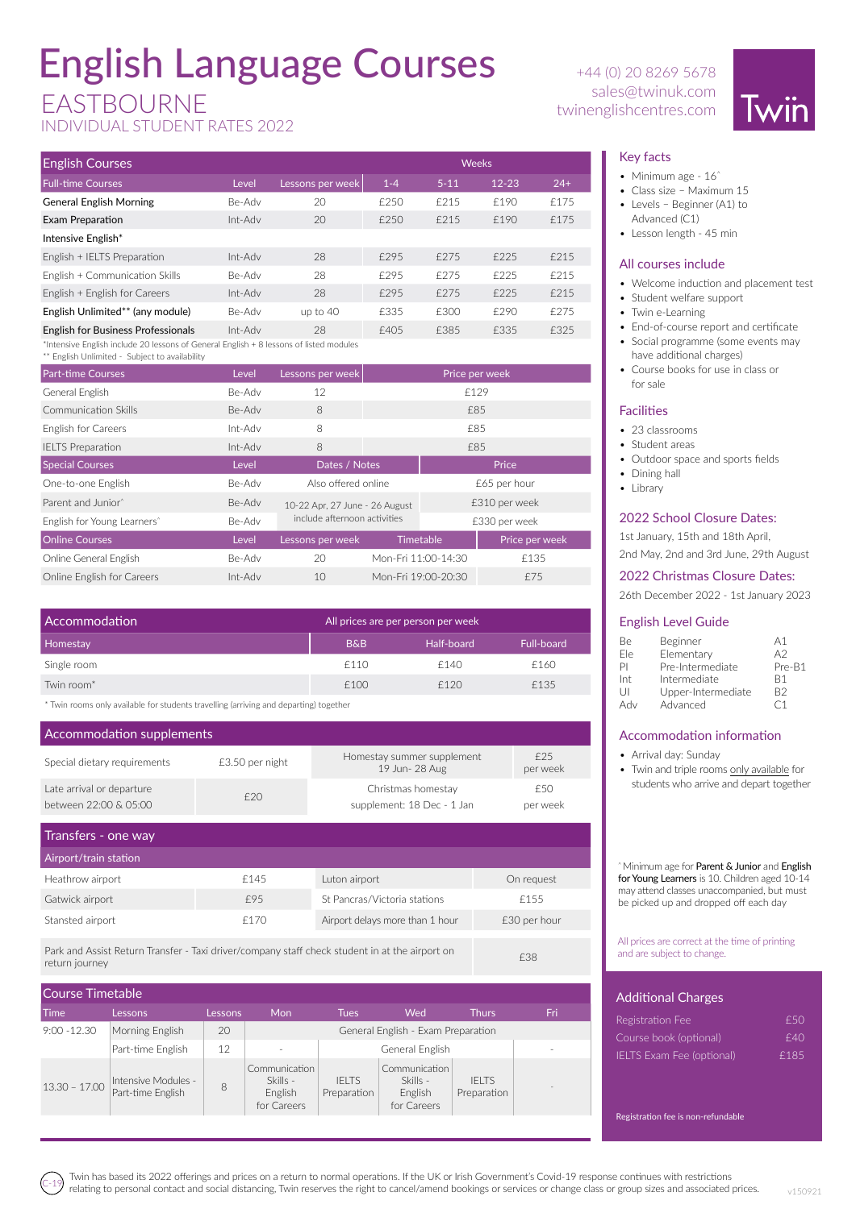# English Language Courses

### EASTBOURNE

INDIVIDUAL STUDENT RATES 2022

| <b>English Courses</b>                                                                 |         |                  | <b>Weeks</b> |          |           |       |  |
|----------------------------------------------------------------------------------------|---------|------------------|--------------|----------|-----------|-------|--|
| <b>Full-time Courses</b>                                                               | Level   | Lessons per week | $1 - 4$      | $5 - 11$ | $12 - 23$ | $24+$ |  |
| <b>General English Morning</b>                                                         | Be-Adv  | 20               | £250         | £215     | £190      | £175  |  |
| Exam Preparation                                                                       | Int-Adv | 20               | £250         | £215     | £190      | £175  |  |
| Intensive English*                                                                     |         |                  |              |          |           |       |  |
| English + IELTS Preparation                                                            | Int-Adv | 28               | £295         | £275     | £225      | £215  |  |
| English + Communication Skills                                                         | Be-Adv  | 28               | £295         | £275     | £225      | £215  |  |
| English + English for Careers                                                          | Int-Adv | 28               | £295         | £275     | £225      | £215  |  |
| English Unlimited** (any module)                                                       | Be-Adv  | up to $40$       | £335         | £300     | £290      | £275  |  |
| <b>English for Business Professionals</b>                                              | Int-Adv | 28               | £405         | £385     | £335      | £325  |  |
| *Intensive English include 20 lessons of General English + 8 lessons of listed modules |         |                  |              |          |           |       |  |

\*\* English Unlimited - Subject to availability

| <b>Part-time Courses</b>                | Level   | Lessons per week<br>Price per week |                              |               |                |  |
|-----------------------------------------|---------|------------------------------------|------------------------------|---------------|----------------|--|
| General English                         | Be-Adv  | 12                                 |                              | £129          |                |  |
| Communication Skills                    | Be-Adv  | 8                                  |                              | £85           |                |  |
| <b>English for Careers</b>              | Int-Adv | 8                                  |                              | £85           |                |  |
| <b>IELTS Preparation</b>                | Int-Adv | 8                                  | £85                          |               |                |  |
| <b>Special Courses</b>                  | Level   | Dates / Notes                      |                              |               | Price          |  |
| One-to-one English                      | Be-Adv  | Also offered online                |                              | £65 per hour  |                |  |
| Parent and Junior <sup>*</sup>          | Be-Adv  | 10-22 Apr, 27 June - 26 August     |                              | £310 per week |                |  |
| English for Young Learners <sup>*</sup> | Be-Adv  |                                    | include afternoon activities |               | £330 per week  |  |
| <b>Online Courses</b>                   | Level   | Lessons per week                   | <b>Timetable</b>             |               | Price per week |  |
| Online General English                  | Be-Adv  | 20                                 | Mon-Fri 11:00-14:30          |               | £135           |  |
| Online English for Careers              | Int-Adv | 10                                 | Mon-Fri 19:00-20:30          |               | £75            |  |

| Half-board<br>Full-board |
|--------------------------|
| £160                     |
| £135                     |
| £140<br>f120             |

\* Twin rooms only available for students travelling (arriving and departing) together

| Accommodation supplements                          |                 |                                                  |                 |  |  |  |
|----------------------------------------------------|-----------------|--------------------------------------------------|-----------------|--|--|--|
| Special dietary requirements                       | £3.50 per night | Homestay summer supplement<br>19 Jun- 28 Aug     | f25<br>per week |  |  |  |
| Late arrival or departure<br>between 22:00 & 05:00 | f20             | Christmas homestay<br>supplement: 18 Dec - 1 Jan | £50<br>per week |  |  |  |

| Transfers - one way   |      |                                 |              |
|-----------------------|------|---------------------------------|--------------|
| Airport/train station |      |                                 |              |
| Heathrow airport      | £145 | Luton airport                   | On request   |
| Gatwick airport       | £95  | St Pancras/Victoria stations    | £155         |
| Stansted airport      | f170 | Airport delays more than 1 hour | £30 per hour |
|                       |      |                                 |              |

Park and Assist Return Transfer - Taxi driver/company staff check student in at the airport on return journey £38

| Course Timetable |                                          |         |                                                     |                             |                                                     |                             |                          |
|------------------|------------------------------------------|---------|-----------------------------------------------------|-----------------------------|-----------------------------------------------------|-----------------------------|--------------------------|
| Time             | Lessons                                  | Lessons | Mon                                                 | <b>Tues</b>                 | Wed                                                 | <b>Thurs</b>                | Fri                      |
| $9:00 - 12.30$   | Morning English                          | 20      |                                                     |                             | General English - Exam Preparation                  |                             |                          |
|                  | Part-time English                        | 12      |                                                     | General English             |                                                     |                             |                          |
| $13.30 - 17.00$  | Intensive Modules -<br>Part-time English | 8       | Communication<br>Skills -<br>English<br>for Careers | <b>IFITS</b><br>Preparation | Communication<br>Skills -<br>English<br>for Careers | <b>IFITS</b><br>Preparation | $\overline{\phantom{a}}$ |

+44 (0) 20 8269 5678 sales@twinuk.com twinenglishcentres.com



#### Key facts

- Minimum age 16<sup>^</sup>
- Class size Maximum 15
- Levels Beginner (A1) to Advanced (C1)
- Lesson length 45 min

#### All courses include

- Welcome induction and placement test
- Student welfare support
- Twin e-Learning
- End-of-course report and certificate • Social programme (some events may
- have additional charges)
- Course books for use in class or for sale

#### Facilities

- 23 classrooms
- Student areas
- Outdoor space and sports fields
- Dining hall
- Library

#### 2022 School Closure Dates:

1st January, 15th and 18th April,

2nd May, 2nd and 3rd June, 29th August

#### 2022 Christmas Closure Dates:

26th December 2022 - 1st January 2023

#### English Level Guide

| Be  | Beginner           | А1     |
|-----|--------------------|--------|
| Ele | Elementary         | A2     |
| PI  | Pre-Intermediate   | Pre-B1 |
| Int | Intermediate       | R1     |
| U   | Upper-Intermediate | B2     |
| Adv | Advanced           | Γ1     |

#### Accommodation information

- Arrival day: Sunday
- Twin and triple rooms only available for students who arrive and depart together

^ Minimum age for Parent & Junior and English for Young Learners is 10. Children aged 10-14 may attend classes unaccompanied, but must be picked up and dropped off each day

All prices are correct at the time of printing and are subject to change.

| <b>Additional Charges</b>        |      |
|----------------------------------|------|
| Registration Fee                 | £50  |
| Course book (optional)           | f40  |
| <b>IELTS Exam Fee (optional)</b> | £185 |
|                                  |      |

Registration fee is non-refundable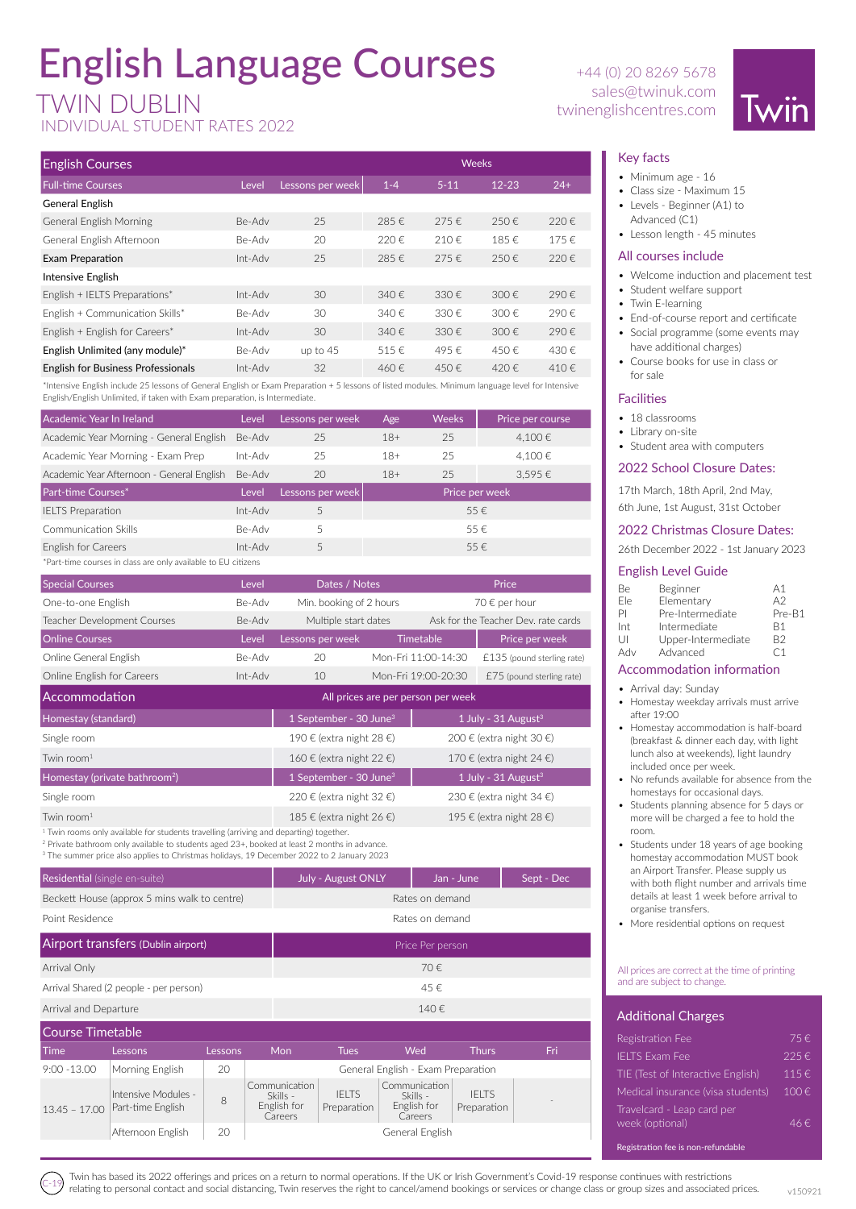# English Language Courses

INDIVIDUAL STUDENT RATES 2022

| <b>English Courses</b>                    | <b>Weeks</b> |                  |         |           |           |           |
|-------------------------------------------|--------------|------------------|---------|-----------|-----------|-----------|
| <b>Full-time Courses</b>                  | Level        | Lessons per week | $1 - 4$ | $5 - 11$  | $12 - 23$ | $24+$     |
| General English                           |              |                  |         |           |           |           |
| <b>General English Morning</b>            | Be-Adv       | 25               | 285€    | 275€      | 250€      | 220€      |
| General English Afternoon                 | Be-Adv       | 20               | 220€    | 210€      | 185€      | 175€      |
| Exam Preparation                          | Int-Adv      | 25               | 285€    | 275€      | 250€      | $220 \in$ |
| Intensive English                         |              |                  |         |           |           |           |
| English + IELTS Preparations*             | Int-Adv      | 30               | 340 f   | $330 \in$ | $300 \in$ | 290€      |
| English + Communication Skills*           | Be-Adv       | 30               | 340€    | $330 \in$ | 300 $E$   | 290€      |
| English + English for Careers*            | Int-Adv      | 30               | 340 f   | $330 \in$ | $300 \in$ | 290€      |
| English Unlimited (any module)*           | Be-Adv       | up to 45         | 515€    | 495€      | 450€      | 430€      |
| <b>English for Business Professionals</b> | Int-Adv      | 32               | 460€    | 450€      | 420€      | 410€      |

\*Intensive English include 25 lessons of General English or Exam Preparation + 5 lessons of listed modules. Minimum language level for Intensive English/English Unlimited, if taken with Exam preparation, is Intermediate.

| Academic Year In Ireland                                      | Level   | Lessons per week | Age            | <b>Weeks</b> | Price per course |  |
|---------------------------------------------------------------|---------|------------------|----------------|--------------|------------------|--|
| Academic Year Morning - General English                       | Be-Adv  | 25               | $18+$          | 25           | 4.100€           |  |
| Academic Year Morning - Exam Prep                             | Int-Adv | 25               | $18+$          | 25           | 4.100€           |  |
| Academic Year Afternoon - General English                     | Be-Adv  | 20               | $18+$          | 25           | 3.595€           |  |
| Part-time Courses*                                            | Level   | Lessons per week | Price per week |              |                  |  |
| <b>IELTS</b> Preparation                                      | Int-Adv | 5                |                |              | 55€              |  |
| Communication Skills                                          | Be-Adv  | 5                |                |              | 55€              |  |
| English for Careers                                           | Int-Adv | 5                |                |              | 55€              |  |
| *Part-time courses in class are only available to EU citizens |         |                  |                |              |                  |  |

| <b>Special Courses</b>      | Level   | Dates / Notes           |                     | Price                               |
|-----------------------------|---------|-------------------------|---------------------|-------------------------------------|
| One-to-one English          | Be-Adv  | Min. booking of 2 hours |                     | 70 $\epsilon$ per hour              |
| Teacher Development Courses | Be-Adv  | Multiple start dates    |                     | Ask for the Teacher Dev. rate cards |
| <b>Online Courses</b>       | Level   | Lessons per week        | <b>Timetable</b>    | Price per week                      |
| Online General English      | Be-Adv  | 20                      | Mon-Fri 11:00-14:30 | $£135$ (pound sterling rate)        |
| Online English for Careers  | Int-Adv | 10                      | Mon-Fri 19:00-20:30 | $£75$ (pound sterling rate)         |

| Accommodation                                                                           | All prices are per person per week |                                   |  |  |  |
|-----------------------------------------------------------------------------------------|------------------------------------|-----------------------------------|--|--|--|
| Homestay (standard)                                                                     | 1 September - 30 June <sup>3</sup> | 1 July - $31$ August <sup>3</sup> |  |  |  |
| Single room                                                                             | 190 € (extra night 28 €)           | 200 € (extra night 30 €)          |  |  |  |
| Twin room $1$                                                                           | 160 € (extra night 22 €)           | 170 € (extra night 24 €)          |  |  |  |
| Homestay (private bathroom <sup>2</sup> )                                               | 1 September - 30 June <sup>3</sup> | 1 July - $31$ August <sup>3</sup> |  |  |  |
| Single room                                                                             | 220 € (extra night 32 €)           | 230 € (extra night 34 €)          |  |  |  |
| Twin room $1$                                                                           | 185 € (extra night 26 €)           | 195 € (extra night 28 €)          |  |  |  |
| $1$ Twin rooms only available for students travelling (arriving and departing) together |                                    |                                   |  |  |  |

Twin rooms only available for students travelling (arriving and departing) together.

2 Private bathroom only available to students aged 23+, booked at least 2 months in advance.

3 The summer price also applies to Christmas holidays, 19 December 2022 to 2 January 2023

| Residential (single en-suite)                | <b>July - August ONLY</b> | Sept - Dec |  |  |  |
|----------------------------------------------|---------------------------|------------|--|--|--|
| Beckett House (approx 5 mins walk to centre) | Rates on demand           |            |  |  |  |
| Point Residence                              | Rates on demand           |            |  |  |  |
| Airport transfers (Dublin airport)           | Price Per person          |            |  |  |  |
| Arrival Only                                 |                           | 70€        |  |  |  |
| Arrival Shared (2 people - per person)       | 45€                       |            |  |  |  |
| Arrival and Departure                        |                           | 140€       |  |  |  |

| Course Timetable |                                          |         |                                                     |                             |                                                     |                             |     |
|------------------|------------------------------------------|---------|-----------------------------------------------------|-----------------------------|-----------------------------------------------------|-----------------------------|-----|
| <b>Time</b>      | Lessons                                  | Lessons | Mon                                                 | <b>Tues</b>                 | Wed                                                 | Thurs                       | Fri |
| $9:00 - 13.00$   | Morning English                          | 20      | General English - Exam Preparation                  |                             |                                                     |                             |     |
| $13.45 - 17.00$  | Intensive Modules -<br>Part-time English | 8       | Communication<br>Skills -<br>English for<br>Careers | <b>IELTS</b><br>Preparation | Communication<br>Skills -<br>English for<br>Careers | <b>IFITS</b><br>Preparation |     |
|                  | Afternoon English                        | 20      |                                                     |                             | General English                                     |                             |     |

+44 (0) 20 8269 5678 sales@twinuk.com TWIN DUBLIN twinenglishcentres.com



#### Key facts

- Minimum age 16
- Class size Maximum 15
- Levels Beginner (A1) to Advanced (C1)
- Lesson length 45 minutes

#### All courses include

- Welcome induction and placement test
- Student welfare support
- Twin E-learning
- End-of-course report and certificate
- Social programme (some events may have additional charges)
- Course books for use in class or for sale

#### **Facilities**

- 18 classrooms
- Library on-site
- Student area with computers

#### 2022 School Closure Dates:

17th March, 18th April, 2nd May,

6th June, 1st August, 31st October

#### 2022 Christmas Closure Dates:

26th December 2022 - 1st January 2023

#### English Level Guide

| Be. | Beginner           | A <sub>1</sub> |
|-----|--------------------|----------------|
| Fle | Elementary         | A2             |
| PI  | Pre-Intermediate   | Pre-B1         |
| Int | Intermediate       | <b>B1</b>      |
| U   | Upper-Intermediate | B2             |
| Adv | Advanced           | ۲1             |
|     |                    |                |

#### Accommodation information

- Arrival day: Sunday
- Homestay weekday arrivals must arrive after 19:00
- Homestay accommodation is half-board (breakfast & dinner each day, with light lunch also at weekends), light laundry included once per week.
- No refunds available for absence from the homestays for occasional days.
- Students planning absence for 5 days or more will be charged a fee to hold the room.
- Students under 18 years of age booking homestay accommodation MUST book an Airport Transfer. Please supply us with both flight number and arrivals time details at least 1 week before arrival to organise transfers.
- More residential options on request

#### All prices are correct at the time of printing and are subject to change

#### **Additional Charges**

| Registration Fee                              | 75€       |
|-----------------------------------------------|-----------|
| <b>IELTS Exam Fee</b>                         | 225€      |
| TIE (Test of Interactive English)             | 115€      |
| Medical insurance (visa students)             | $100 \in$ |
| Travelcard - Leap card per<br>week (optional) | $46 \in$  |
| Registration fee is non-refundable            |           |

Twin has based its 2022 offerings and prices on a return to normal operations. If the UK or Irish Government's Covid-19 response continues with restrictions relating to personal contact and social distancing, Twin reserves the right to cancel/amend bookings or services or change class or group sizes and associated prices.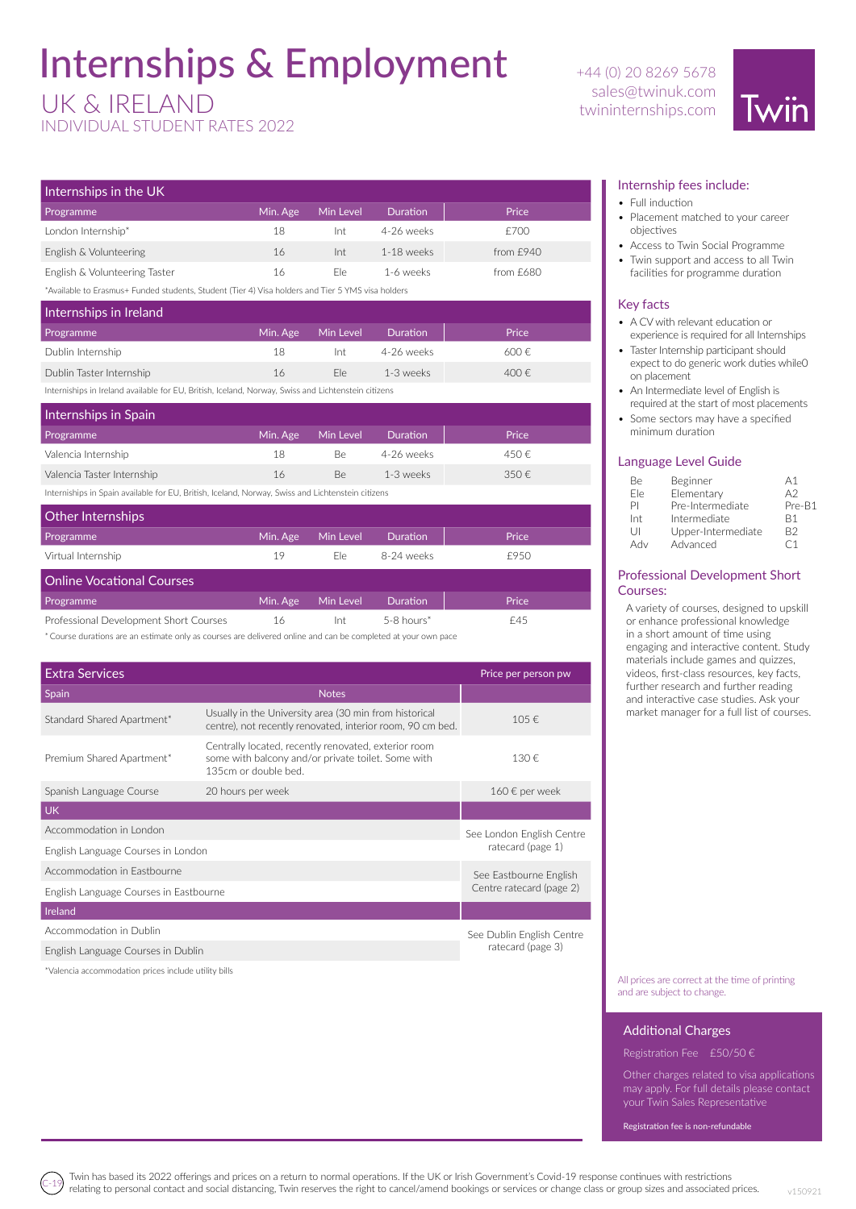### Internships & Employment

### UK & IRELAND

INDIVIDUAL STUDENT RATES 2022

+44 (0) 20 8269 5678 sales@twinuk.com twininternships.com



| Internships in the UK                                                                             |          |           |                 |             |  |  |
|---------------------------------------------------------------------------------------------------|----------|-----------|-----------------|-------------|--|--|
| Programme                                                                                         | Min. Age | Min Level | <b>Duration</b> | Price       |  |  |
| London Internship*                                                                                | 18       | Int       | 4-26 weeks      | £700        |  |  |
| English & Volunteering                                                                            | 16       | Int       | 1-18 weeks      | from $f940$ |  |  |
| English & Volunteering Taster                                                                     | 16       | Fle.      | 1-6 weeks       | from $f680$ |  |  |
| *Available to Erasmus+ Funded students, Student (Tier 4) Visa holders and Tier 5 YMS visa holders |          |           |                 |             |  |  |

Internships in Ireland Programme **Min. Age Min Level Duration Price** Dublin Internship  $18$  Int  $4-26$  weeks  $600 \text{ } \in$ Dublin Taster Internship  $16$  Ele  $1-3$  weeks  $400 \notin$ 

Interniships in Ireland available for EU, British, Iceland, Norway, Swiss and Lichtenstein citizens

| Internships in Spain                                                                              |          |           |                 |       |  |  |  |
|---------------------------------------------------------------------------------------------------|----------|-----------|-----------------|-------|--|--|--|
| Programme                                                                                         | Min. Age | Min Level | <b>Duration</b> | Price |  |  |  |
| Valencia Internship                                                                               | 18       | Be.       | 4-26 weeks      | 450€  |  |  |  |
| Valencia Taster Internship                                                                        | 16       | Be.       | 1-3 weeks       | 350€  |  |  |  |
| Interniships in Spain available for EU, British, Iceland, Norway, Swiss and Lichtenstein citizens |          |           |                 |       |  |  |  |

| Other Internships                      |          |           |                          |       |
|----------------------------------------|----------|-----------|--------------------------|-------|
| <b>Programme</b>                       | Min. Age | Min Level | <b>Duration</b>          | Price |
| Virtual Internship                     | 19       | Fle.      | 8-24 weeks               | £950  |
| <b>Online Vocational Courses</b>       |          |           |                          |       |
| <b>Programme</b>                       | Min. Age | Min Level | <b>Duration</b>          | Price |
| Professional Development Short Courses | 16       | Int       | $5-8$ hours <sup>*</sup> | £45   |

\*Course durations are an estimate only as courses are delivered online and can be completed at your own pace

| <b>Extra Services</b>                  |                                                                                                                                    | Price per person pw                                |  |
|----------------------------------------|------------------------------------------------------------------------------------------------------------------------------------|----------------------------------------------------|--|
| Spain                                  | <b>Notes</b>                                                                                                                       |                                                    |  |
| Standard Shared Apartment*             | Usually in the University area (30 min from historical<br>centre), not recently renovated, interior room, 90 cm bed.               | 105€                                               |  |
| Premium Shared Apartment*              | Centrally located, recently renovated, exterior room<br>some with balcony and/or private toilet. Some with<br>135cm or double bed. | 130€                                               |  |
| Spanish Language Course                | 20 hours per week                                                                                                                  | $160 \text{ } \in$ per week                        |  |
| UK                                     |                                                                                                                                    |                                                    |  |
| Accommodation in London                |                                                                                                                                    | See London English Centre<br>ratecard (page 1)     |  |
| English Language Courses in London     |                                                                                                                                    |                                                    |  |
| Accommodation in Eastbourne            |                                                                                                                                    | See Eastbourne English<br>Centre ratecard (page 2) |  |
| English Language Courses in Eastbourne |                                                                                                                                    |                                                    |  |
| Ireland                                |                                                                                                                                    |                                                    |  |
| Accommodation in Dublin                |                                                                                                                                    | See Dublin English Centre<br>ratecard (page 3)     |  |
| English Language Courses in Dublin     |                                                                                                                                    |                                                    |  |

\*Valencia accommodation prices include utility bills

#### Internship fees include:

- Full induction
- Placement matched to your career objectives
- Access to Twin Social Programme • Twin support and access to all Twin facilities for programme duration
	-

#### Key facts

- A CV with relevant education or experience is required for all Internships
- Taster Internship participant should expect to do generic work duties while0 on placement
- An Intermediate level of English is required at the start of most placements
- Some sectors may have a specified minimum duration

#### Language Level Guide

| Βe  | Beginner           | А1                |
|-----|--------------------|-------------------|
| Fle | Elementary         | A2                |
| PI  | Pre-Intermediate   | Pre-B1            |
| Int | Intermediate       | R1                |
| U   | Upper-Intermediate | B2                |
| Adv | Advanced           | $\mathsf{\cap}$ 1 |

#### Professional Development Short Courses:

A variety of courses, designed to upskill or enhance professional knowledge in a short amount of time using engaging and interactive content. Study materials include games and quizzes, videos, first-class resources, key facts, further research and further reading and interactive case studies. Ask your market manager for a full list of courses.

All prices are correct at the time of printing and are subject to change.

#### Additional Charges

Registration Fee £50/50 €

Other charges related to visa applications may apply. For full details please contact your Twin Sales Representative

Registration fee is non-refundable